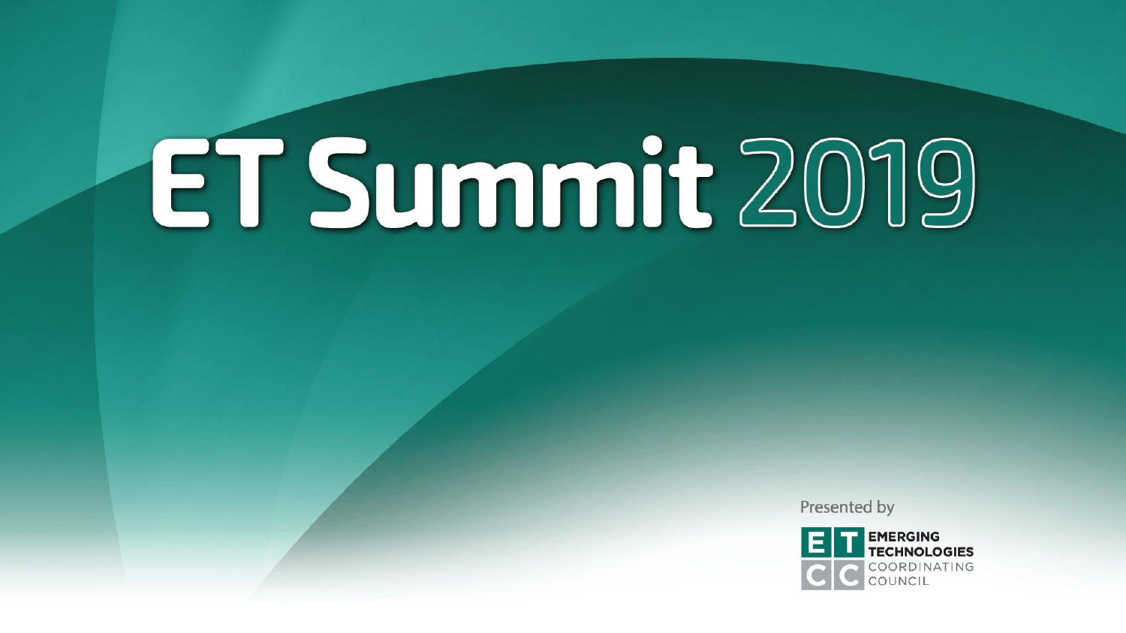Presented by

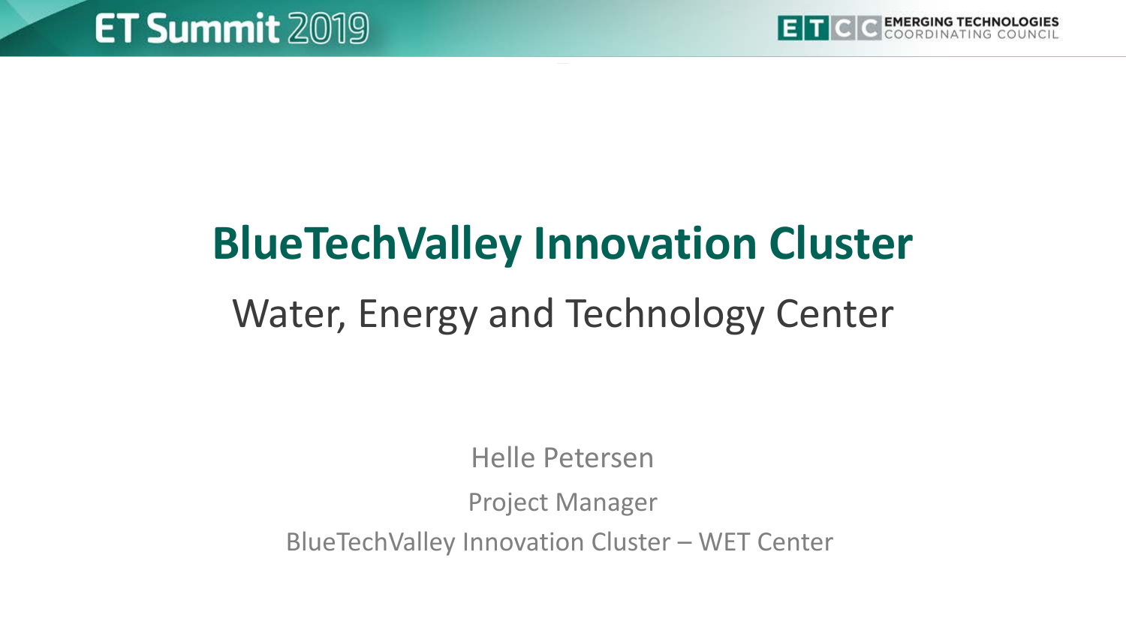

## **BlueTechValley Innovation Cluster**  Water, Energy and Technology Center

Helle Petersen

Project Manager

BlueTechValley Innovation Cluster – WET Center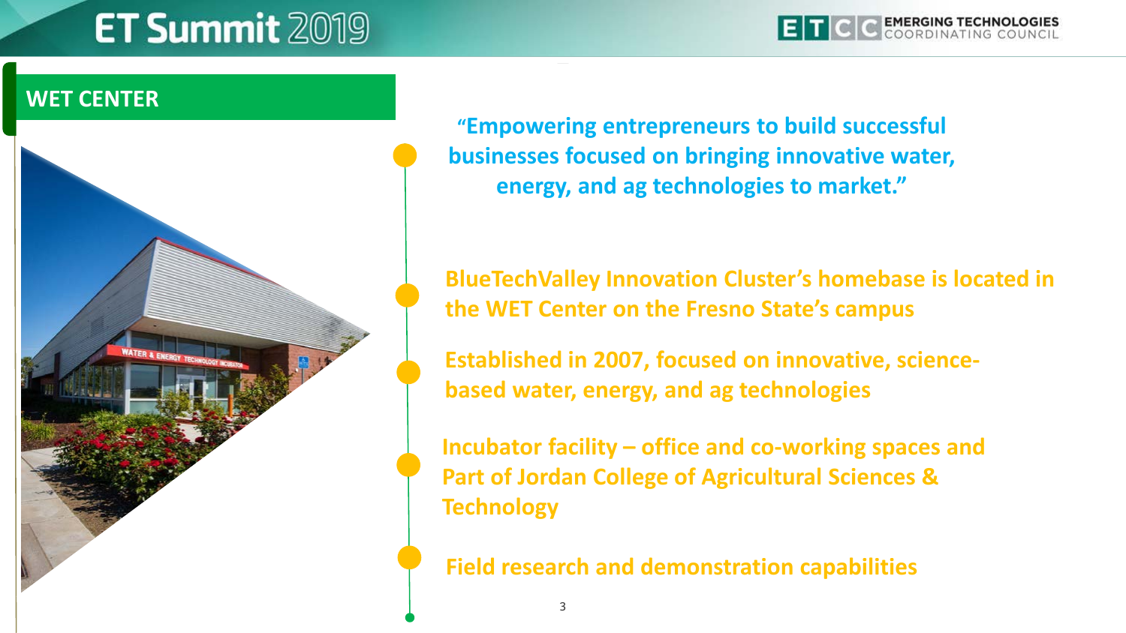#### **WET CENTER ~ WET Center Mission ~**



**"Empowering entrepreneurs to build successful businesses focused on bringing innovative water, energy, and ag technologies to market."**

**BlueTechValley Innovation Cluster's homebase is located in the WET Center on the Fresno State's campus**

**Established in 2007, focused on innovative, sciencebased water, energy, and ag technologies**

**Incubator facility – office and co-working spaces and Part of Jordan College of Agricultural Sciences & Technology**

**Field research and demonstration capabilities**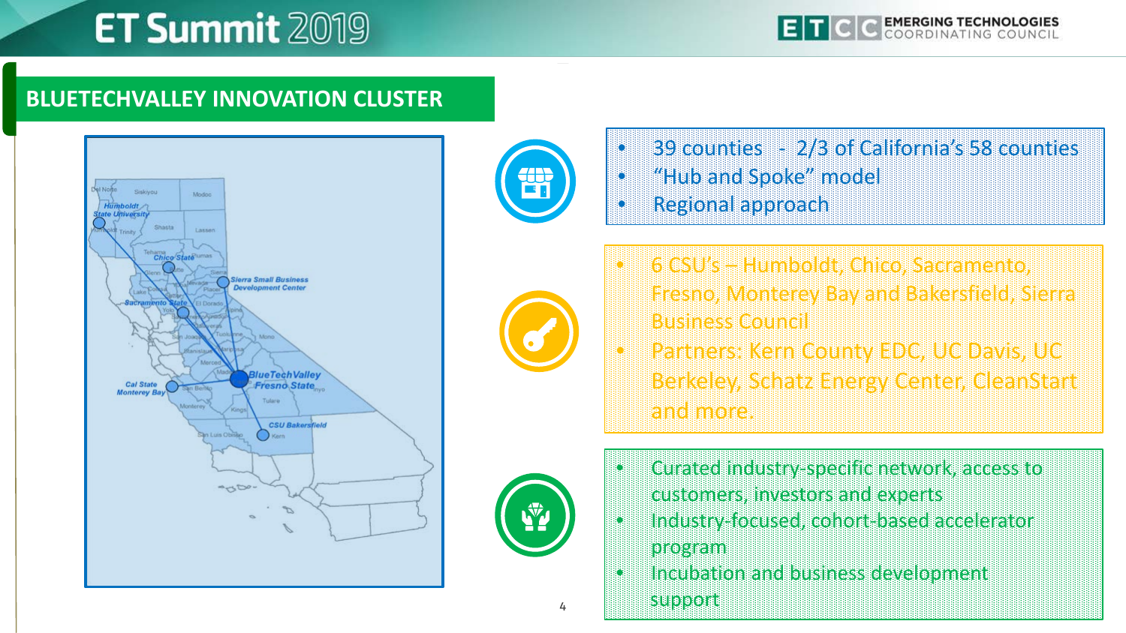#### **BLUETECHVALLEY INNOVATION CLUSTER**







- 39 counties 2/3 of California's 58 counties • "Hub and Spoke" model • Regional approach
- 6 CSU's Humboldt, Chico, Sacramento, Fresno, Monterey Bay and Bakersfield, Sierra Business Council
- Partners: Kern County EDC, UC Davis, UC Berkeley, Schatz Energy Center, CleanStart and more.



- Curated industry-specific network, access to
	- customers, investors and experts
- Industry-focused, cohort-based accelerator program
- Incubation and business development

support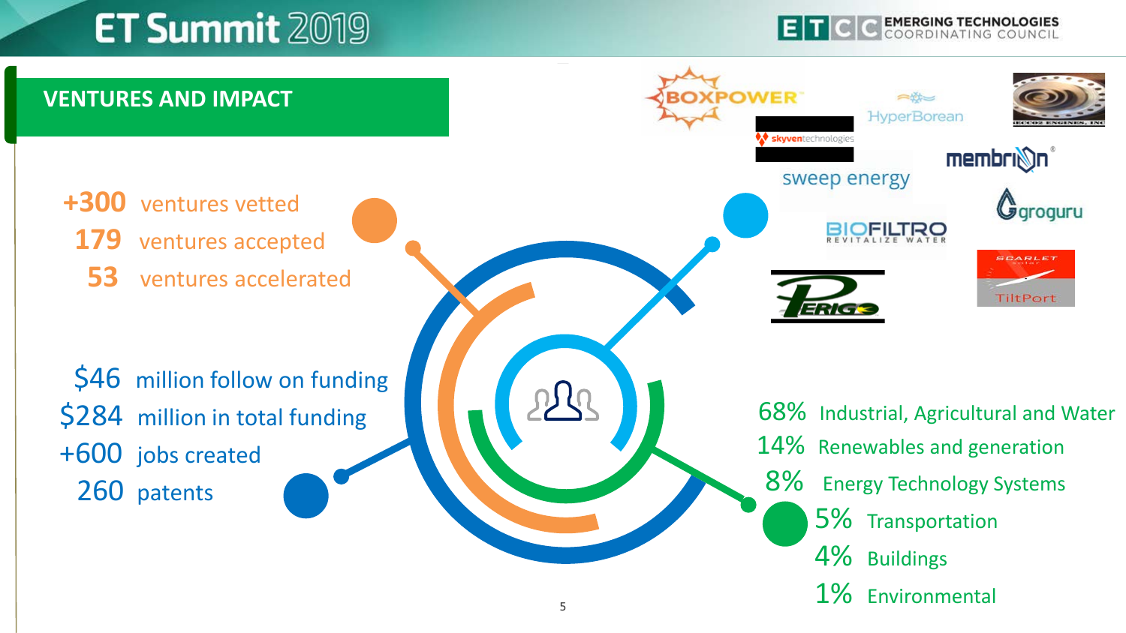**EMERGING TECHNOLOGIES** 

Ggroguru

**SCARLE** 

**TiltPort** 

#### **VENTURES AND IMPACT** OWER  $\Rightarrow$ **HyperBorean** skyventechnologie membrini sweep energy **+300** ventures vetted **179** ventures accepted  **53** ventures accelerated \$46 million follow on funding \$284 million in total funding 68% Industrial, Agricultural and Water 14% Renewables and generation +600 jobs created 8% Energy Technology Systems 260 patents 5% Transportation 4% Buildings 1% Environmental